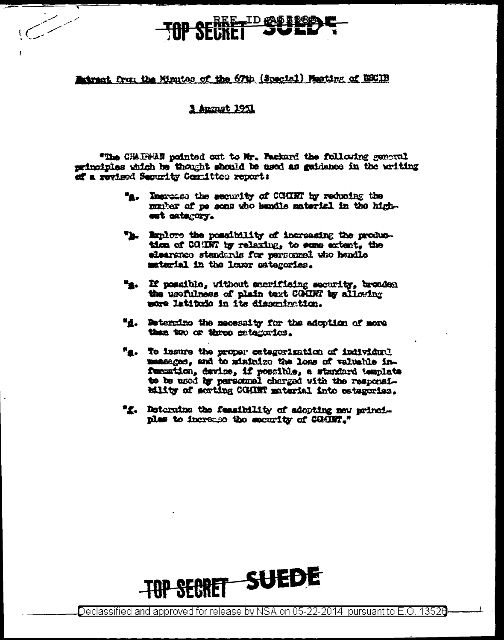## Extract from the Minutes of the 67th (Special) Meeting of BECHB

## 1 Aponst 1951

"The CHAINMEN pointed out to Mr. Packard the following general principles which he thought should be used as guidance in the writing of a revised Security Comittee report:

- "A. Increase the security of COUNT by reducing the manber of pe sons who handle material in the highest category.
- "h. Explore the possibility of increasing the production of COHNT by relaxing, to some extent, the elearance standards for personnel who handle material in the lower sategories.
- "s. If possible, without scorificing security, broaden the usefulness of plain text COURT by allowing mare latitudo in its disseningtion.
- "d. Determine the mecessity for the adoption of more than two or three categories.
- "a. To insure the proper estagorization of individual mensages, and to minimize the loss of valuable infurnation, davise, if possible, a standard template to be used by personnel charged with the responsibility of sorting CGART material into categorias.
- "f. Determine the feasibility of adopting new principlas to increase the security of COMMT."



Declassified and approved for release by NSA on 05-22-2014 pursuant to E.O. 13526